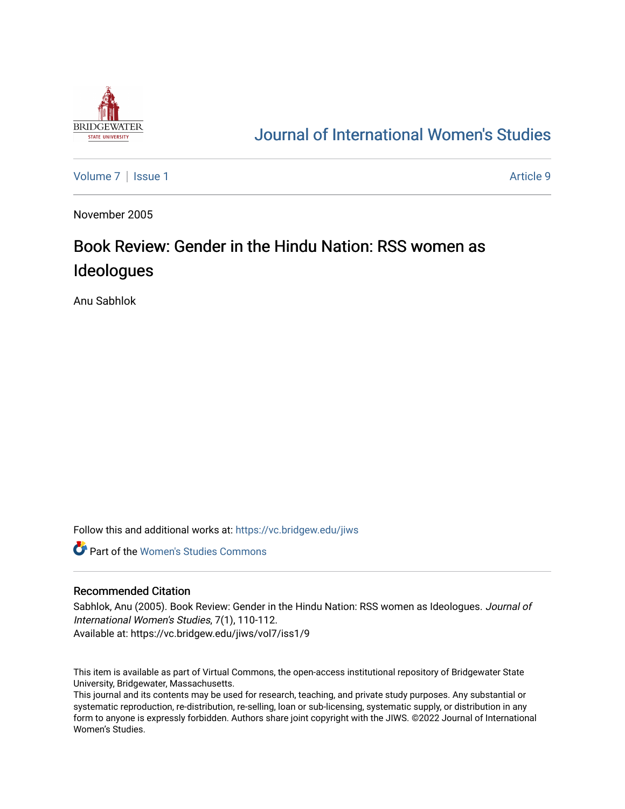

## [Journal of International Women's Studies](https://vc.bridgew.edu/jiws)

[Volume 7](https://vc.bridgew.edu/jiws/vol7) | [Issue 1](https://vc.bridgew.edu/jiws/vol7/iss1) Article 9

November 2005

## Book Review: Gender in the Hindu Nation: RSS women as Ideologues

Anu Sabhlok

Follow this and additional works at: [https://vc.bridgew.edu/jiws](https://vc.bridgew.edu/jiws?utm_source=vc.bridgew.edu%2Fjiws%2Fvol7%2Fiss1%2F9&utm_medium=PDF&utm_campaign=PDFCoverPages)

**C** Part of the Women's Studies Commons

## Recommended Citation

Sabhlok, Anu (2005). Book Review: Gender in the Hindu Nation: RSS women as Ideologues. Journal of International Women's Studies, 7(1), 110-112. Available at: https://vc.bridgew.edu/jiws/vol7/iss1/9

This item is available as part of Virtual Commons, the open-access institutional repository of Bridgewater State University, Bridgewater, Massachusetts.

This journal and its contents may be used for research, teaching, and private study purposes. Any substantial or systematic reproduction, re-distribution, re-selling, loan or sub-licensing, systematic supply, or distribution in any form to anyone is expressly forbidden. Authors share joint copyright with the JIWS. ©2022 Journal of International Women's Studies.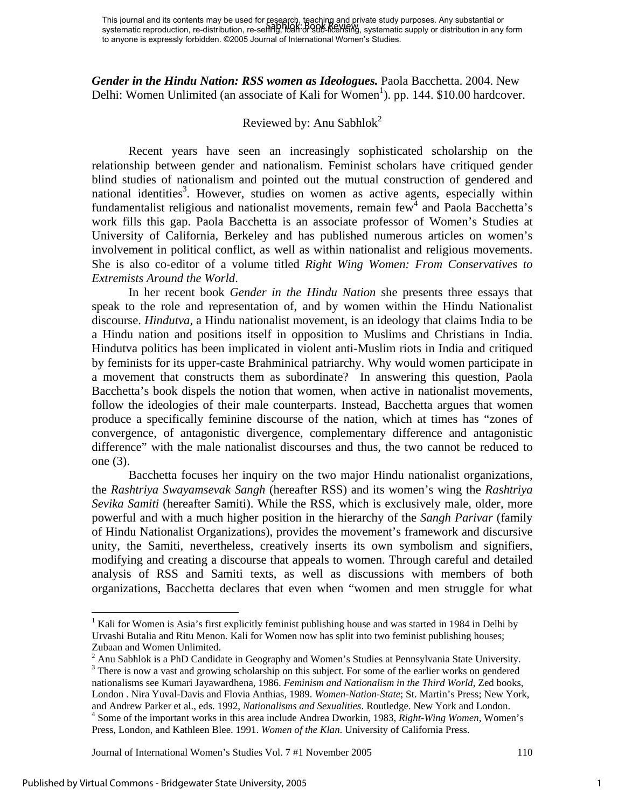<span id="page-1-3"></span>Journal of International Women's Studies Vol. 7 #1 November 2005 110

 $\overline{a}$ 

*Gender in the Hindu Nation: RSS women as Ideologues.* Paola Bacchetta. 2004. New Delhi: Women Unlimited (an associate of Kali for Women<sup>[1](#page-1-0)</sup>). pp. 144. \$10.00 hardcover.

## Reviewed by: Anu Sabhlok<sup>2</sup>

Recent years have seen an increasingly sophisticated scholarship on the relationship between gender and nationalism. Feminist scholars have critiqued gender blind studies of nationalism and pointed out the mutual construction of gendered and national identities<sup>3</sup>. However, studies on women as active agents, especially within fundamentalist religious and nationalist movements, remain  $few<sup>4</sup>$  $few<sup>4</sup>$  $few<sup>4</sup>$  and Paola Bacchetta's work fills this gap. Paola Bacchetta is an associate professor of Women's Studies at University of California, Berkeley and has published numerous articles on women's involvement in political conflict, as well as within nationalist and religious movements. She is also co-editor of a volume titled *Right Wing Women: From Conservatives to Extremists Around the World*.

In her recent book *Gender in the Hindu Nation* she presents three essays that speak to the role and representation of, and by women within the Hindu Nationalist discourse. *Hindutva,* a Hindu nationalist movement, is an ideology that claims India to be a Hindu nation and positions itself in opposition to Muslims and Christians in India. Hindutva politics has been implicated in violent anti-Muslim riots in India and critiqued by feminists for its upper-caste Brahminical patriarchy. Why would women participate in a movement that constructs them as subordinate? In answering this question, Paola Bacchetta's book dispels the notion that women, when active in nationalist movements, follow the ideologies of their male counterparts. Instead, Bacchetta argues that women produce a specifically feminine discourse of the nation, which at times has "zones of convergence, of antagonistic divergence, complementary difference and antagonistic difference" with the male nationalist discourses and thus, the two cannot be reduced to one (3).

Bacchetta focuses her inquiry on the two major Hindu nationalist organizations,

the *Rashtriya Swayamsevak Sangh* (hereafter RSS) and its women's wing the *Rashtriya Sevika Samiti* (hereafter Samiti). While the RSS, which is exclusively male, older, more powerful and with a much higher position in the hierarchy of the *Sangh Parivar* (family of Hindu Nationalist Organizations), provides the movement's framework and discursive unity, the Samiti, nevertheless, creatively inserts its own symbolism and signifiers, modifying and creating a discourse that appeals to women. Through careful and detailed

<span id="page-1-0"></span><sup>&</sup>lt;sup>1</sup> Kali for Women is Asia's first explicitly feminist publishing house and was started in 1984 in Delhi by Urvashi Butalia and Ritu Menon. Kali for Women now has split into two feminist publishing houses; Zubaan and Women Unlimited. 2 Anu Sabhlok is a PhD Candidate in Geography and Women's Studies at Pennsylvania State University. 3

<span id="page-1-2"></span><span id="page-1-1"></span><sup>&</sup>lt;sup>3</sup> There is now a vast and growing scholarship on this subject. For some of the earlier works on gendered nationalisms see Kumari Jayawardhena, 1986. *Feminism and Nationalism in the Third World*, Zed books, London . Nira Yuval-Davis and Flovia Anthias, 1989. *Women-Nation-State*; St. Martin's Press; New York, and Andrew Parker et al., eds. 1992, *Nationalisms and Sexualities*. Routledge. New York and London. 4 Some of the important works in this area include Andrea Dworkin, 1983, *Right-Wing Women*, Women's Press, London, and Kathleen Blee. 1991. *Women of the Klan*. University of California Press.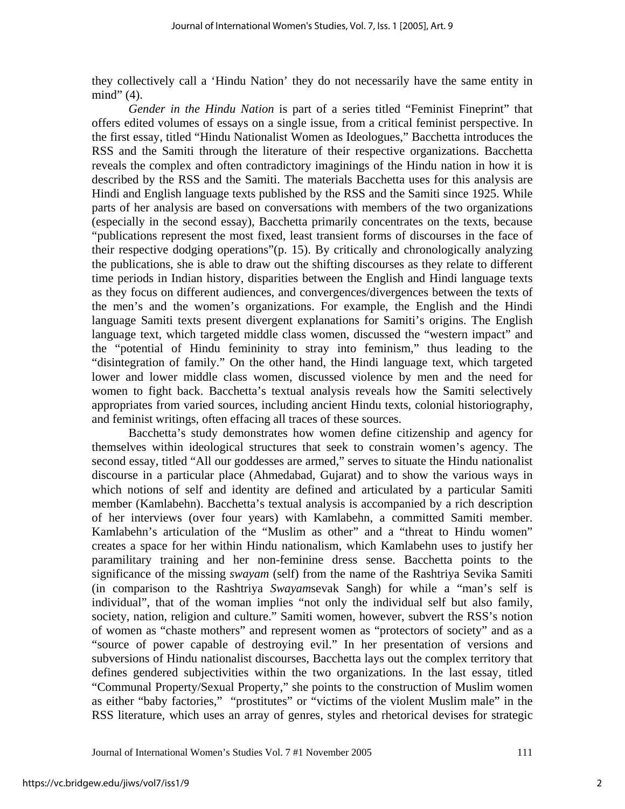they collectively call a 'Hindu Nation' they do not necessarily have the same entity in mind" (4).

*Gender in the Hindu Nation* is part of a series titled "Feminist Fineprint" that offers edited volumes of essays on a single issue, from a critical feminist perspective. In the first essay, titled "Hindu Nationalist Women as Ideologues," Bacchetta introduces the RSS and the Samiti through the literature of their respective organizations. Bacchetta reveals the complex and often contradictory imaginings of the Hindu nation in how it is described by the RSS and the Samiti. The materials Bacchetta uses for this analysis are Hindi and English language texts published by the RSS and the Samiti since 1925. While parts of her analysis are based on conversations with members of the two organizations (especially in the second essay), Bacchetta primarily concentrates on the texts, because "publications represent the most fixed, least transient forms of discourses in the face of their respective dodging operations"(p. 15). By critically and chronologically analyzing the publications, she is able to draw out the shifting discourses as they relate to different time periods in Indian history, disparities between the English and Hindi language texts as they focus on different audiences, and convergences/divergences between the texts of the men's and the women's organizations. For example, the English and the Hindi language Samiti texts present divergent explanations for Samiti's origins. The English language text, which targeted middle class women, discussed the "western impact" and the "potential of Hindu femininity to stray into feminism," thus leading to the "disintegration of family." On the other hand, the Hindi language text, which targeted lower and lower middle class women, discussed violence by men and the need for women to fight back. Bacchetta's textual analysis reveals how the Samiti selectively appropriates from varied sources, including ancient Hindu texts, colonial historiography, and feminist writings, often effacing all traces of these sources.

Bacchetta's study demonstrates how women define citizenship and agency for themselves within ideological structures that seek to constrain women's agency. The second essay, titled "All our goddesses are armed," serves to situate the Hindu nationalist discourse in a particular place (Ahmedabad, Gujarat) and to show the various ways in which notions of self and identity are defined and articulated by a particular Samiti member (Kamlabehn). Bacchetta's textual analysis is accompanied by a rich description of her interviews (over four years) with Kamlabehn, a committed Samiti member. Kamlabehn's articulation of the "Muslim as other" and a "threat to Hindu women" creates a space for her within Hindu nationalism, which Kamlabehn uses to justify her paramilitary training and her non-feminine dress sense. Bacchetta points to the significance of the missing *swayam* (self) from the name of the Rashtriya Sevika Samiti (in comparison to the Rashtriya *Swayam*sevak Sangh) for while a "man's self is individual", that of the woman implies "not only the individual self but also family, society, nation, religion and culture." Samiti women, however, subvert the RSS's notion of women as "chaste mothers" and represent women as "protectors of society" and as a "source of power capable of destroying evil." In her presentation of versions and subversions of Hindu nationalist discourses, Bacchetta lays out the complex territory that defines gendered subjectivities within the two organizations. In the last essay, titled "Communal Property/Sexual Property," she points to the construction of Muslim women as either "baby factories," "prostitutes" or "victims of the violent Muslim male" in the RSS literature, which uses an array of genres, styles and rhetorical devises for strategic